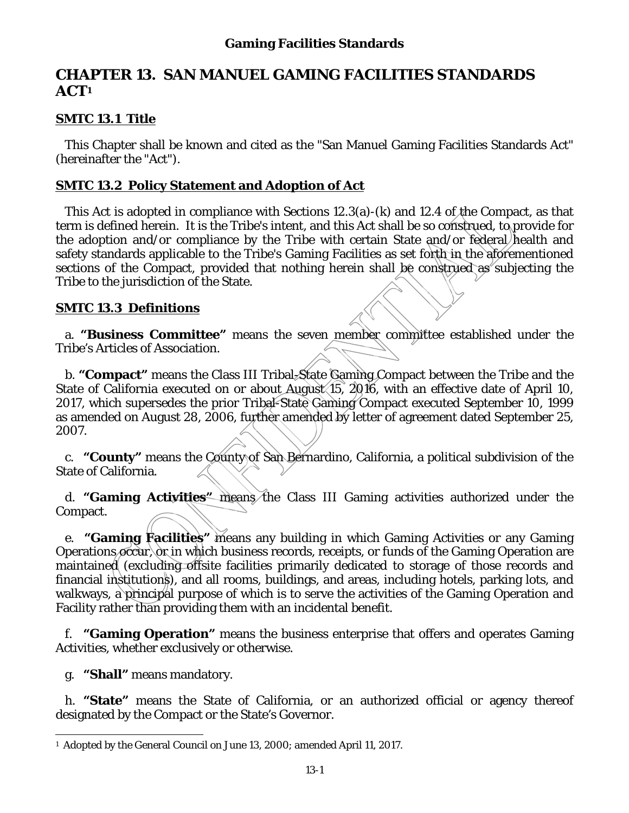# **CHAPTER 13. SAN MANUEL GAMING FACILITIES STANDARDS ACT[1](#page-0-0)**

# **SMTC 13.1 Title**

This Chapter shall be known and cited as the "San Manuel Gaming Facilities Standards Act" (hereinafter the "Act").

# **SMTC 13.2 Policy Statement and Adoption of Act**

This Act is adopted in compliance with Sections 12.3(a)-(k) and 12.4 of the Compact, as that term is defined herein. It is the Tribe's intent, and this Act shall be so construed, to provide for the adoption and/or compliance by the Tribe with certain State and/or federal health and safety standards applicable to the Tribe's Gaming Facilities as set forth in the aforementioned sections of the Compact, provided that nothing herein shall be construed as subjecting the Tribe to the jurisdiction of the State.

### **SMTC 13.3 Definitions**

a. **"Business Committee"** means the seven member committee established under the Tribe's Articles of Association.

b. **"Compact"** means the Class III Tribal-State Gaming Compact between the Tribe and the State of California executed on or about August 15, 2016, with an effective date of April 10, 2017, which supersedes the prior Tribal-State Gaming Compact executed September 10, 1999 as amended on August 28, 2006, further amended by letter of agreement dated September 25, 2007.

c. **"County"** means the County of San Bernardino, California, a political subdivision of the State of California.

d. **"Gaming Activities"** means the Class III Gaming activities authorized under the Compact.

e. **"Gaming Facilities"** means any building in which Gaming Activities or any Gaming Operations occur, or in which business records, receipts, or funds of the Gaming Operation are maintained (excluding offsite facilities primarily dedicated to storage of those records and financial institutions), and all rooms, buildings, and areas, including hotels, parking lots, and walkways, a principal purpose of which is to serve the activities of the Gaming Operation and Facility rather than providing them with an incidental benefit.

f. **"Gaming Operation"** means the business enterprise that offers and operates Gaming Activities, whether exclusively or otherwise.

g. **"Shall"** means mandatory.

h. **"State"** means the State of California, or an authorized official or agency thereof designated by the Compact or the State's Governor.

<span id="page-0-0"></span> $\overline{a}$ 1 Adopted by the General Council on June 13, 2000; amended April 11, 2017.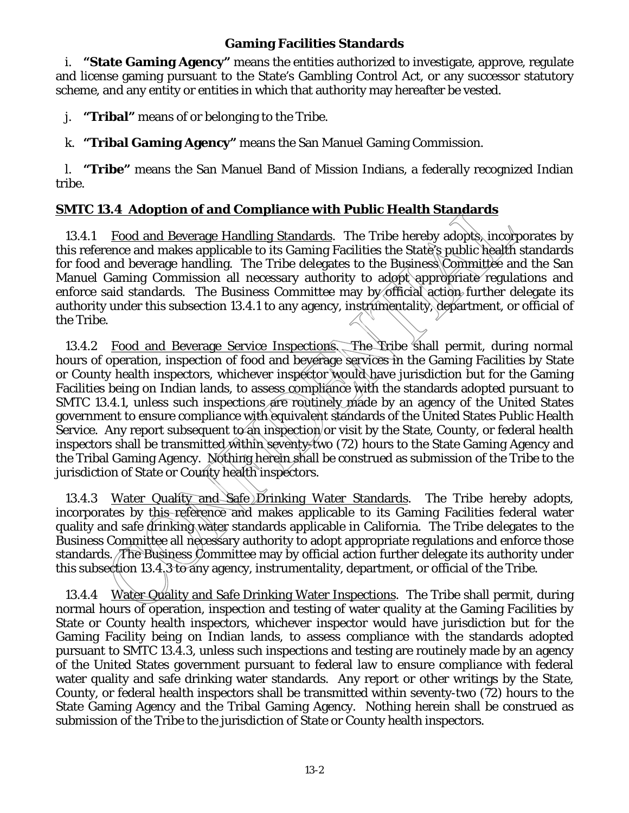### **Gaming Facilities Standards**

i. **"State Gaming Agency"** means the entities authorized to investigate, approve, regulate and license gaming pursuant to the State's Gambling Control Act, or any successor statutory scheme, and any entity or entities in which that authority may hereafter be vested.

j. **"Tribal"** means of or belonging to the Tribe.

k. **"Tribal Gaming Agency"** means the San Manuel Gaming Commission.

l. **"Tribe"** means the San Manuel Band of Mission Indians, a federally recognized Indian tribe.

# **SMTC 13.4 Adoption of and Compliance with Public Health Standards**

13.4.1 Food and Beverage Handling Standards. The Tribe hereby adopts, incorporates by this reference and makes applicable to its Gaming Facilities the State's public health standards for food and beverage handling. The Tribe delegates to the Business Committee and the San Manuel Gaming Commission all necessary authority to adopt appropriate regulations and enforce said standards. The Business Committee may by official action further delegate its authority under this subsection 13.4.1 to any agency, instrumentality, department, or official of the Tribe.

13.4.2 Food and Beverage Service Inspections. The Tribe shall permit, during normal hours of operation, inspection of food and beverage services in the Gaming Facilities by State or County health inspectors, whichever inspector would have jurisdiction but for the Gaming Facilities being on Indian lands, to assess compliance with the standards adopted pursuant to SMTC 13.4.1, unless such inspections are routinely made by an agency of the United States government to ensure compliance with equivalent standards of the United States Public Health Service. Any report subsequent to an inspection or visit by the State, County, or federal health inspectors shall be transmitted within seventy-two (72) hours to the State Gaming Agency and the Tribal Gaming Agency. Nothing herein shall be construed as submission of the Tribe to the jurisdiction of State or County health inspectors.

13.4.3 Water Quality and Safe Drinking Water Standards. The Tribe hereby adopts, incorporates by this reference and makes applicable to its Gaming Facilities federal water quality and safe drinking water standards applicable in California. The Tribe delegates to the Business Committee all necessary authority to adopt appropriate regulations and enforce those standards. The Business Committee may by official action further delegate its authority under this subsection 13.4.3 to any agency, instrumentality, department, or official of the Tribe.

13.4.4 Water Quality and Safe Drinking Water Inspections. The Tribe shall permit, during normal hours of operation, inspection and testing of water quality at the Gaming Facilities by State or County health inspectors, whichever inspector would have jurisdiction but for the Gaming Facility being on Indian lands, to assess compliance with the standards adopted pursuant to SMTC 13.4.3, unless such inspections and testing are routinely made by an agency of the United States government pursuant to federal law to ensure compliance with federal water quality and safe drinking water standards. Any report or other writings by the State, County, or federal health inspectors shall be transmitted within seventy-two (72) hours to the State Gaming Agency and the Tribal Gaming Agency. Nothing herein shall be construed as submission of the Tribe to the jurisdiction of State or County health inspectors.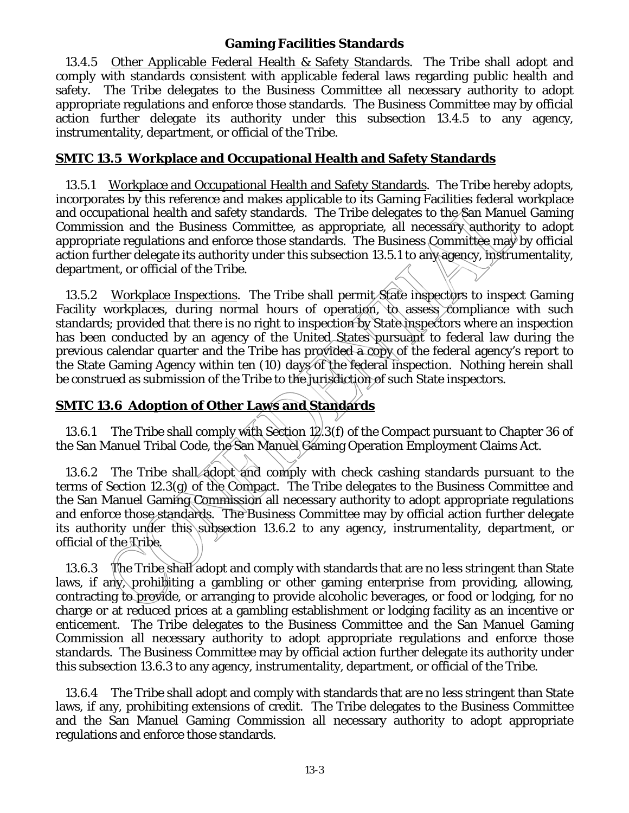### **Gaming Facilities Standards**

13.4.5 Other Applicable Federal Health & Safety Standards. The Tribe shall adopt and comply with standards consistent with applicable federal laws regarding public health and safety. The Tribe delegates to the Business Committee all necessary authority to adopt appropriate regulations and enforce those standards. The Business Committee may by official action further delegate its authority under this subsection 13.4.5 to any agency, instrumentality, department, or official of the Tribe.

### **SMTC 13.5 Workplace and Occupational Health and Safety Standards**

13.5.1 Workplace and Occupational Health and Safety Standards. The Tribe hereby adopts, incorporates by this reference and makes applicable to its Gaming Facilities federal workplace and occupational health and safety standards. The Tribe delegates to the San Manuel Gaming Commission and the Business Committee, as appropriate, all necessary authority to adopt appropriate regulations and enforce those standards. The Business Committee may by official action further delegate its authority under this subsection 13.5.1 to any agency, instrumentality, department, or official of the Tribe.

13.5.2 Workplace Inspections. The Tribe shall permit State inspectors to inspect Gaming Facility workplaces, during normal hours of operation, to assess compliance with such standards; provided that there is no right to inspection by State inspectors where an inspection has been conducted by an agency of the United States pursuant to federal law during the previous calendar quarter and the Tribe has provided a copy of the federal agency's report to the State Gaming Agency within ten (10) days of the federal inspection. Nothing herein shall be construed as submission of the Tribe to the jurisdiction of such State inspectors.

# **SMTC 13.6 Adoption of Other Laws and Standards**

13.6.1 The Tribe shall comply with Section 12.3(f) of the Compact pursuant to Chapter 36 of the San Manuel Tribal Code, the San Manuel Gaming Operation Employment Claims Act.

13.6.2 The Tribe shall adopt and comply with check cashing standards pursuant to the terms of Section 12.3(g) of the Compact. The Tribe delegates to the Business Committee and the San Manuel Gaming Commission all necessary authority to adopt appropriate regulations and enforce those standards. The Business Committee may by official action further delegate its authority under this subsection 13.6.2 to any agency, instrumentality, department, or official of the Tribe.

13.6.3 The Tribe shall adopt and comply with standards that are no less stringent than State laws, if any, prohibiting a gambling or other gaming enterprise from providing, allowing, contracting to provide, or arranging to provide alcoholic beverages, or food or lodging, for no charge or at reduced prices at a gambling establishment or lodging facility as an incentive or enticement. The Tribe delegates to the Business Committee and the San Manuel Gaming Commission all necessary authority to adopt appropriate regulations and enforce those standards. The Business Committee may by official action further delegate its authority under this subsection 13.6.3 to any agency, instrumentality, department, or official of the Tribe.

13.6.4 The Tribe shall adopt and comply with standards that are no less stringent than State laws, if any, prohibiting extensions of credit. The Tribe delegates to the Business Committee and the San Manuel Gaming Commission all necessary authority to adopt appropriate regulations and enforce those standards.